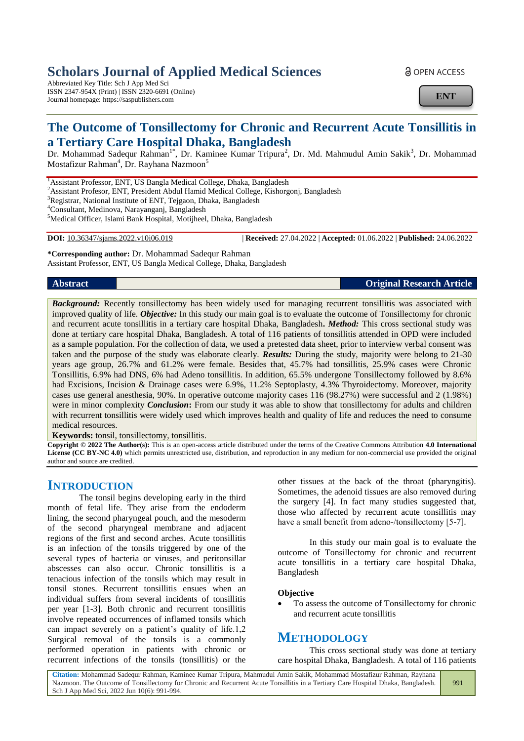# **Scholars Journal of Applied Medical Sciences**

Abbreviated Key Title: Sch J App Med Sci ISSN 2347-954X (Print) | ISSN 2320-6691 (Online) Journal homepage: https://saspublishers.com

<u>ခါ</u> OPEN ACCESS

**ENT**

# **The Outcome of Tonsillectomy for Chronic and Recurrent Acute Tonsillitis in a Tertiary Care Hospital Dhaka, Bangladesh**

Dr. Mohammad Sadequr Rahman<sup>1\*</sup>, Dr. Kaminee Kumar Tripura<sup>2</sup>, Dr. Md. Mahmudul Amin Sakik<sup>3</sup>, Dr. Mohammad Mostafizur Rahman<sup>4</sup>, Dr. Rayhana Nazmoon<sup>5</sup>

<sup>1</sup> Assistant Professor, ENT, US Bangla Medical College, Dhaka, Bangladesh

<sup>2</sup>Assistant Profesor, ENT, President Abdul Hamid Medical College, Kishorgonj, Bangladesh

<sup>3</sup>Registrar, National Institute of ENT, Tejgaon, Dhaka, Bangladesh

<sup>4</sup>Consultant, Medinova, Narayanganj, Bangladesh

<sup>5</sup>Medical Officer, Islami Bank Hospital, Motijheel, Dhaka, Bangladesh

**DOI:** 10.36347/sjams.2022.v10i06.019 | **Received:** 27.04.2022 | **Accepted:** 01.06.2022 | **Published:** 24.06.2022

**\*Corresponding author:** Dr. Mohammad Sadequr Rahman Assistant Professor, ENT, US Bangla Medical College, Dhaka, Bangladesh

**Abstract Original Research Article**

*Background:* Recently tonsillectomy has been widely used for managing recurrent tonsillitis was associated with improved quality of life. *Objective:* In this study our main goal is to evaluate the outcome of Tonsillectomy for chronic and recurrent acute tonsillitis in a tertiary care hospital Dhaka, Bangladesh**.** *Method:* This cross sectional study was done at tertiary care hospital Dhaka, Bangladesh. A total of 116 patients of tonsillitis attended in OPD were included as a sample population. For the collection of data, we used a pretested data sheet, prior to interview verbal consent was taken and the purpose of the study was elaborate clearly. *Results:* During the study, majority were belong to 21-30 years age group, 26.7% and 61.2% were female. Besides that, 45.7% had tonsillitis, 25.9% cases were Chronic Tonsillitis, 6.9% had DNS, 6% had Adeno tonsillitis. In addition, 65.5% undergone Tonsillectomy followed by 8.6% had Excisions, Incision & Drainage cases were 6.9%, 11.2% Septoplasty, 4.3% Thyroidectomy. Moreover, majority cases use general anesthesia, 90%. In operative outcome majority cases 116 (98.27%) were successful and 2 (1.98%) were in minor complexity *Conclusion***:** From our study it was able to show that tonsillectomy for adults and children with recurrent tonsillitis were widely used which improves health and quality of life and reduces the need to consume medical resources.

**Keywords:** tonsil, tonsillectomy, tonsillitis.

**Copyright © 2022 The Author(s):** This is an open-access article distributed under the terms of the Creative Commons Attribution **4.0 International**  License (CC BY-NC 4.0) which permits unrestricted use, distribution, and reproduction in any medium for non-commercial use provided the original author and source are credited.

## **INTRODUCTION**

The tonsil begins developing early in the third month of fetal life. They arise from the endoderm lining, the second pharyngeal pouch, and the mesoderm of the second pharyngeal membrane and adjacent regions of the first and second arches. Acute tonsillitis is an infection of the tonsils triggered by one of the several types of bacteria or viruses, and peritonsillar abscesses can also occur. Chronic tonsillitis is a tenacious infection of the tonsils which may result in tonsil stones. Recurrent tonsillitis ensues when an individual suffers from several incidents of tonsillitis per year [1-3]. Both chronic and recurrent tonsillitis involve repeated occurrences of inflamed tonsils which can impact severely on a patient's quality of life.1,2 Surgical removal of the tonsils is a commonly performed operation in patients with chronic or recurrent infections of the tonsils (tonsillitis) or the

other tissues at the back of the throat (pharyngitis). Sometimes, the adenoid tissues are also removed during the surgery [4]. In fact many studies suggested that, those who affected by recurrent acute tonsillitis may have a small benefit from adeno-/tonsillectomy [5-7].

In this study our main goal is to evaluate the outcome of Tonsillectomy for chronic and recurrent acute tonsillitis in a tertiary care hospital Dhaka, Bangladesh

#### **Objective**

 To assess the outcome of Tonsillectomy for chronic and recurrent acute tonsillitis

### **METHODOLOGY**

This cross sectional study was done at tertiary care hospital Dhaka, Bangladesh. A total of 116 patients

**Citation:** Mohammad Sadequr Rahman, Kaminee Kumar Tripura, Mahmudul Amin Sakik, Mohammad Mostafizur Rahman, Rayhana Nazmoon. The Outcome of Tonsillectomy for Chronic and Recurrent Acute Tonsillitis in a Tertiary Care Hospital Dhaka, Bangladesh. Sch J App Med Sci, 2022 Jun 10(6): 991-994. 991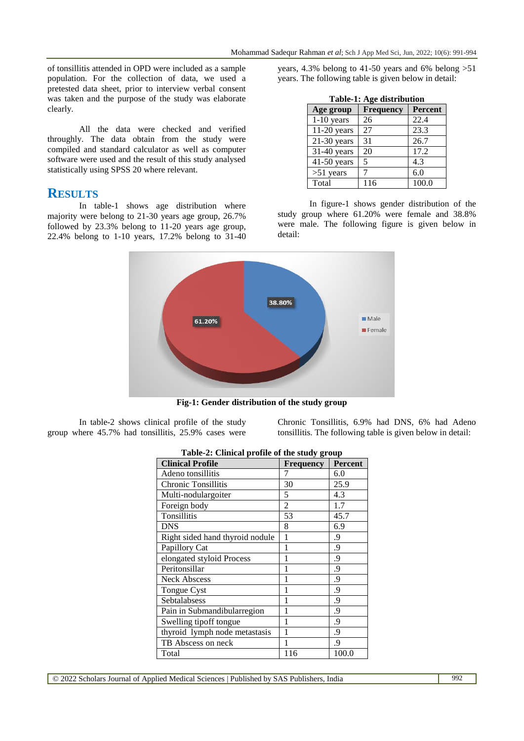of tonsillitis attended in OPD were included as a sample population. For the collection of data, we used a pretested data sheet, prior to interview verbal consent was taken and the purpose of the study was elaborate clearly.

All the data were checked and verified throughly. The data obtain from the study were compiled and standard calculator as well as computer software were used and the result of this study analysed statistically using SPSS 20 where relevant.

#### **RESULTS**

In table-1 shows age distribution where majority were belong to 21-30 years age group, 26.7% followed by 23.3% belong to 11-20 years age group, 22.4% belong to 1-10 years, 17.2% belong to 31-40

years, 4.3% belong to 41-50 years and 6% belong >51 years. The following table is given below in detail:

| Table-1: Age distribution |                          |         |  |  |
|---------------------------|--------------------------|---------|--|--|
| Age group                 | <b>Frequency</b>         | Percent |  |  |
| $1-10$ years              | 26                       | 22.4    |  |  |
| $11-20$ years             | 27                       | 23.3    |  |  |
| $21-30$ years             | 31                       | 26.7    |  |  |
| $31-40$ years             | 20                       | 17.2    |  |  |
| $41-50$ years             | $\overline{\phantom{1}}$ | 4.3     |  |  |
| $>51$ years               |                          | 6.0     |  |  |
| Total                     | 116                      | 100.0   |  |  |

In figure-1 shows gender distribution of the study group where 61.20% were female and 38.8% were male. The following figure is given below in detail:



**Fig-1: Gender distribution of the study group**

In table-2 shows clinical profile of the study group where 45.7% had tonsillitis, 25.9% cases were Chronic Tonsillitis, 6.9% had DNS, 6% had Adeno tonsillitis. The following table is given below in detail:

| rable-2. Chincar profile or the study group |                  |         |  |  |  |
|---------------------------------------------|------------------|---------|--|--|--|
| <b>Clinical Profile</b>                     | <b>Frequency</b> | Percent |  |  |  |
| Adeno tonsillitis                           | 7                | 6.0     |  |  |  |
| <b>Chronic Tonsillitis</b>                  | 30               | 25.9    |  |  |  |
| Multi-nodulargoiter                         | 5                | 4.3     |  |  |  |
| Foreign body                                | $\overline{c}$   | 1.7     |  |  |  |
| Tonsillitis                                 | 53               | 45.7    |  |  |  |
| <b>DNS</b>                                  | 8                | 6.9     |  |  |  |
| Right sided hand thyroid nodule             | 1                | 9.      |  |  |  |
| Papillory Cat                               | 1                | .9      |  |  |  |
| elongated styloid Process                   | 1                | 9.      |  |  |  |
| Peritonsillar                               | 1                | .9      |  |  |  |
| <b>Neck Abscess</b>                         | 1                | 9.      |  |  |  |
| Tongue Cyst                                 | 1                | 9.      |  |  |  |
| Sebtalabsess                                | 1                | .9      |  |  |  |
| Pain in Submandibularregion                 | 1                | .9      |  |  |  |
| Swelling tipoff tongue                      | 1                | .9      |  |  |  |
| thyroid lymph node metastasis               | 1                | 9.      |  |  |  |
| TB Abscess on neck                          | 1                | .9      |  |  |  |
| Total                                       | 116              | 100.0   |  |  |  |

| Table-2: Clinical profile of the study group |  |
|----------------------------------------------|--|
|                                              |  |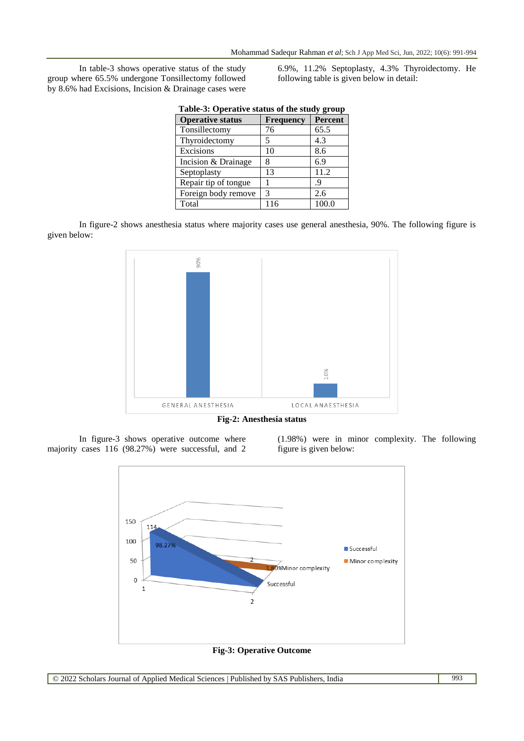In table-3 shows operative status of the study group where 65.5% undergone Tonsillectomy followed by 8.6% had Excisions, Incision & Drainage cases were

6.9%, 11.2% Septoplasty, 4.3% Thyroidectomy. He following table is given below in detail:

| Table-3: Operative status of the study group |           |                |  |  |
|----------------------------------------------|-----------|----------------|--|--|
| <b>Operative status</b>                      | Frequency | <b>Percent</b> |  |  |
| Tonsillectomy                                | 76        | 65.5           |  |  |
| Thyroidectomy                                | 5         | 4.3            |  |  |
| Excisions                                    | 10        | 8.6            |  |  |
| Incision & Drainage                          | 8         | 6.9            |  |  |
| Septoplasty                                  | 13        | 11.2           |  |  |
| Repair tip of tongue                         |           | .9             |  |  |
| Foreign body remove                          | 3         | 2.6            |  |  |
| Total                                        | 116       | 100.0          |  |  |

In figure-2 shows anesthesia status where majority cases use general anesthesia, 90%. The following figure is given below:



**Fig-2: Anesthesia status**

In figure-3 shows operative outcome where majority cases 116 (98.27%) were successful, and 2

(1.98%) were in minor complexity. The following figure is given below:



**Fig-3: Operative Outcome**